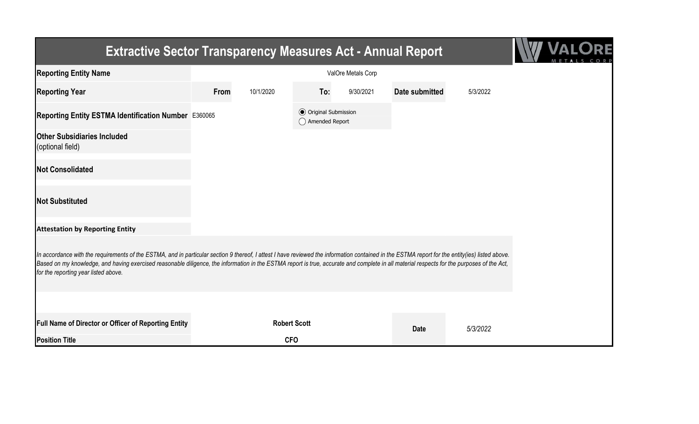| <b>Extractive Sector Transparency Measures Act - Annual Report</b>                                                                                                                                                                                                                                                                                                                                                                    |                    |           |                                                  |           |                |          |  |  |
|---------------------------------------------------------------------------------------------------------------------------------------------------------------------------------------------------------------------------------------------------------------------------------------------------------------------------------------------------------------------------------------------------------------------------------------|--------------------|-----------|--------------------------------------------------|-----------|----------------|----------|--|--|
| <b>Reporting Entity Name</b>                                                                                                                                                                                                                                                                                                                                                                                                          | ValOre Metals Corp |           |                                                  |           |                |          |  |  |
| <b>Reporting Year</b>                                                                                                                                                                                                                                                                                                                                                                                                                 | From               | 10/1/2020 | To:                                              | 9/30/2021 | Date submitted | 5/3/2022 |  |  |
| Reporting Entity ESTMA Identification Number E360065                                                                                                                                                                                                                                                                                                                                                                                  |                    |           | <b>⊙</b> Original Submission<br>◯ Amended Report |           |                |          |  |  |
| <b>Other Subsidiaries Included</b><br>(optional field)                                                                                                                                                                                                                                                                                                                                                                                |                    |           |                                                  |           |                |          |  |  |
| <b>Not Consolidated</b>                                                                                                                                                                                                                                                                                                                                                                                                               |                    |           |                                                  |           |                |          |  |  |
| <b>Not Substituted</b>                                                                                                                                                                                                                                                                                                                                                                                                                |                    |           |                                                  |           |                |          |  |  |
| <b>Attestation by Reporting Entity</b>                                                                                                                                                                                                                                                                                                                                                                                                |                    |           |                                                  |           |                |          |  |  |
| In accordance with the requirements of the ESTMA, and in particular section 9 thereof, I attest I have reviewed the information contained in the ESTMA report for the entity(ies) listed above.<br>Based on my knowledge, and having exercised reasonable diligence, the information in the ESTMA report is true, accurate and complete in all material respects for the purposes of the Act,<br>for the reporting year listed above. |                    |           |                                                  |           |                |          |  |  |
|                                                                                                                                                                                                                                                                                                                                                                                                                                       |                    |           |                                                  |           |                |          |  |  |
| Full Name of Director or Officer of Reporting Entity                                                                                                                                                                                                                                                                                                                                                                                  |                    |           | <b>Robert Scott</b>                              |           | <b>Date</b>    | 5/3/2022 |  |  |
| <b>Position Title</b>                                                                                                                                                                                                                                                                                                                                                                                                                 |                    |           | <b>CFO</b>                                       |           |                |          |  |  |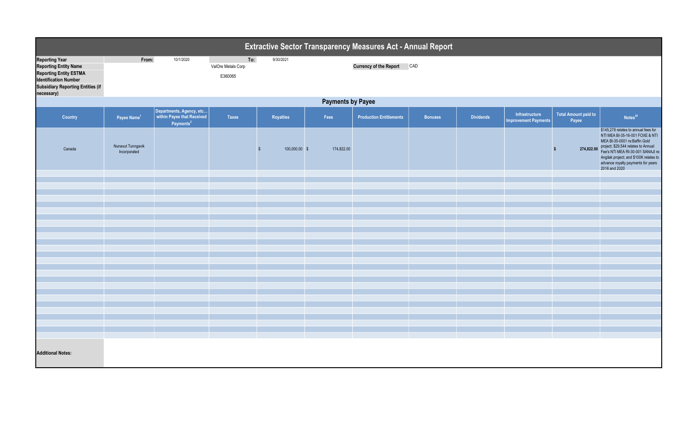| Extractive Sector Transparency Measures Act - Annual Report                                                                                                                      |                                   |                                                                                 |                                      |               |            |                                   |                |                  |                                               |                               |                                                                                                                                                                                                                                                                                                   |  |
|----------------------------------------------------------------------------------------------------------------------------------------------------------------------------------|-----------------------------------|---------------------------------------------------------------------------------|--------------------------------------|---------------|------------|-----------------------------------|----------------|------------------|-----------------------------------------------|-------------------------------|---------------------------------------------------------------------------------------------------------------------------------------------------------------------------------------------------------------------------------------------------------------------------------------------------|--|
| <b>Reporting Year</b><br><b>Reporting Entity Name</b><br><b>Reporting Entity ESTMA</b><br><b>Identification Number</b><br><b>Subsidiary Reporting Entities (if</b><br>necessary) | From:                             | 10/1/2020                                                                       | To:<br>ValOre Metals Corp<br>E360065 | 9/30/2021     |            | <b>Currency of the Report CAD</b> |                |                  |                                               |                               |                                                                                                                                                                                                                                                                                                   |  |
|                                                                                                                                                                                  | <b>Payments by Payee</b>          |                                                                                 |                                      |               |            |                                   |                |                  |                                               |                               |                                                                                                                                                                                                                                                                                                   |  |
| <b>Country</b>                                                                                                                                                                   | Payee Name <sup>1</sup>           | Departments, Agency, etc<br>within Payee that Received<br>Payments <sup>2</sup> | <b>Taxes</b>                         | Royalties     | Fees       | <b>Production Entitlements</b>    | <b>Bonuses</b> | <b>Dividends</b> | Infrastructure<br><b>Improvement Payments</b> | Total Amount paid to<br>Payee | Notes <sup>34</sup>                                                                                                                                                                                                                                                                               |  |
| Canada                                                                                                                                                                           | Nunavut Tunngavik<br>Incorporated |                                                                                 |                                      | 100,000.00 \$ | 174,822.00 |                                   |                |                  |                                               | <b>S</b>                      | \$145,278 relates to annual fees for<br>NTI MEA BI-35-16-001 FOXE & NTI<br>MEA BI-35-0001 re:Baffin Gold<br>274,822.00 project; \$29,544 relates to Annual<br>Fee's NTI MEA RI-30-001 SANAJI re:<br>Angilak project; and \$100K relates to<br>advance royalty payments for years<br>2016 and 2020 |  |
|                                                                                                                                                                                  |                                   |                                                                                 |                                      |               |            |                                   |                |                  |                                               |                               |                                                                                                                                                                                                                                                                                                   |  |
|                                                                                                                                                                                  |                                   |                                                                                 |                                      |               |            |                                   |                |                  |                                               |                               |                                                                                                                                                                                                                                                                                                   |  |
|                                                                                                                                                                                  |                                   |                                                                                 |                                      |               |            |                                   |                |                  |                                               |                               |                                                                                                                                                                                                                                                                                                   |  |
|                                                                                                                                                                                  |                                   |                                                                                 |                                      |               |            |                                   |                |                  |                                               |                               |                                                                                                                                                                                                                                                                                                   |  |
|                                                                                                                                                                                  |                                   |                                                                                 |                                      |               |            |                                   |                |                  |                                               |                               |                                                                                                                                                                                                                                                                                                   |  |
|                                                                                                                                                                                  |                                   |                                                                                 |                                      |               |            |                                   |                |                  |                                               |                               |                                                                                                                                                                                                                                                                                                   |  |
|                                                                                                                                                                                  |                                   |                                                                                 |                                      |               |            |                                   |                |                  |                                               |                               |                                                                                                                                                                                                                                                                                                   |  |
|                                                                                                                                                                                  |                                   |                                                                                 |                                      |               |            |                                   |                |                  |                                               |                               |                                                                                                                                                                                                                                                                                                   |  |
|                                                                                                                                                                                  |                                   |                                                                                 |                                      |               |            |                                   |                |                  |                                               |                               |                                                                                                                                                                                                                                                                                                   |  |
|                                                                                                                                                                                  |                                   |                                                                                 |                                      |               |            |                                   |                |                  |                                               |                               |                                                                                                                                                                                                                                                                                                   |  |
|                                                                                                                                                                                  |                                   |                                                                                 |                                      |               |            |                                   |                |                  |                                               |                               |                                                                                                                                                                                                                                                                                                   |  |
|                                                                                                                                                                                  |                                   |                                                                                 |                                      |               |            |                                   |                |                  |                                               |                               |                                                                                                                                                                                                                                                                                                   |  |
|                                                                                                                                                                                  |                                   |                                                                                 |                                      |               |            |                                   |                |                  |                                               |                               |                                                                                                                                                                                                                                                                                                   |  |
|                                                                                                                                                                                  |                                   |                                                                                 |                                      |               |            |                                   |                |                  |                                               |                               |                                                                                                                                                                                                                                                                                                   |  |
|                                                                                                                                                                                  |                                   |                                                                                 |                                      |               |            |                                   |                |                  |                                               |                               |                                                                                                                                                                                                                                                                                                   |  |
|                                                                                                                                                                                  |                                   |                                                                                 |                                      |               |            |                                   |                |                  |                                               |                               |                                                                                                                                                                                                                                                                                                   |  |
|                                                                                                                                                                                  |                                   |                                                                                 |                                      |               |            |                                   |                |                  |                                               |                               |                                                                                                                                                                                                                                                                                                   |  |
|                                                                                                                                                                                  |                                   |                                                                                 |                                      |               |            |                                   |                |                  |                                               |                               |                                                                                                                                                                                                                                                                                                   |  |
| <b>Additional Notes:</b>                                                                                                                                                         |                                   |                                                                                 |                                      |               |            |                                   |                |                  |                                               |                               |                                                                                                                                                                                                                                                                                                   |  |